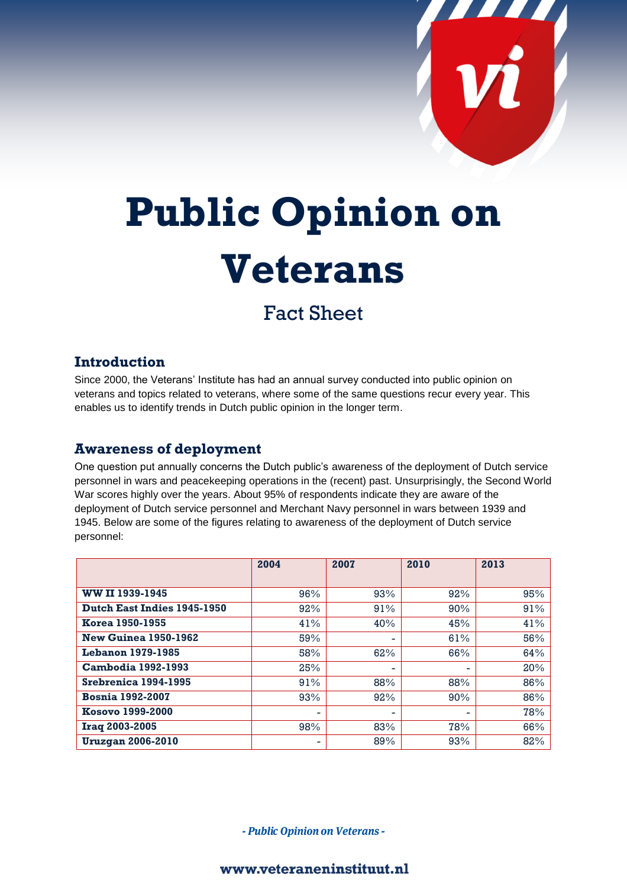

# **Public Opinion on Veterans**

## Fact Sheet

#### **Introduction**

Since 2000, the Veterans' Institute has had an annual survey conducted into public opinion on veterans and topics related to veterans, where some of the same questions recur every year. This enables us to identify trends in Dutch public opinion in the longer term.

#### **Awareness of deployment**

One question put annually concerns the Dutch public's awareness of the deployment of Dutch service personnel in wars and peacekeeping operations in the (recent) past. Unsurprisingly, the Second World War scores highly over the years. About 95% of respondents indicate they are aware of the deployment of Dutch service personnel and Merchant Navy personnel in wars between 1939 and 1945. Below are some of the figures relating to awareness of the deployment of Dutch service personnel:

|                                    | 2004 | 2007 | 2010 | 2013 |
|------------------------------------|------|------|------|------|
|                                    |      |      |      |      |
| WW II 1939-1945                    | 96%  | 93%  | 92%  | 95%  |
| <b>Dutch East Indies 1945-1950</b> | 92%  | 91%  | 90%  | 91%  |
| <b>Korea 1950-1955</b>             | 41%  | 40%  | 45%  | 41%  |
| <b>New Guinea 1950-1962</b>        | 59%  |      | 61%  | 56%  |
| <b>Lebanon 1979-1985</b>           | 58%  | 62%  | 66%  | 64%  |
| <b>Cambodia 1992-1993</b>          | 25%  | -    | -    | 20%  |
| Srebrenica 1994-1995               | 91%  | 88%  | 88%  | 86%  |
| <b>Bosnia 1992-2007</b>            | 93%  | 92%  | 90%  | 86%  |
| Kosovo 1999-2000                   | ٠    |      | -    | 78%  |
| Iraq 2003-2005                     | 98%  | 83%  | 78%  | 66%  |
| <b>Uruzgan 2006-2010</b>           | ٠    | 89%  | 93%  | 82%  |

- Public Opinion on Veterans -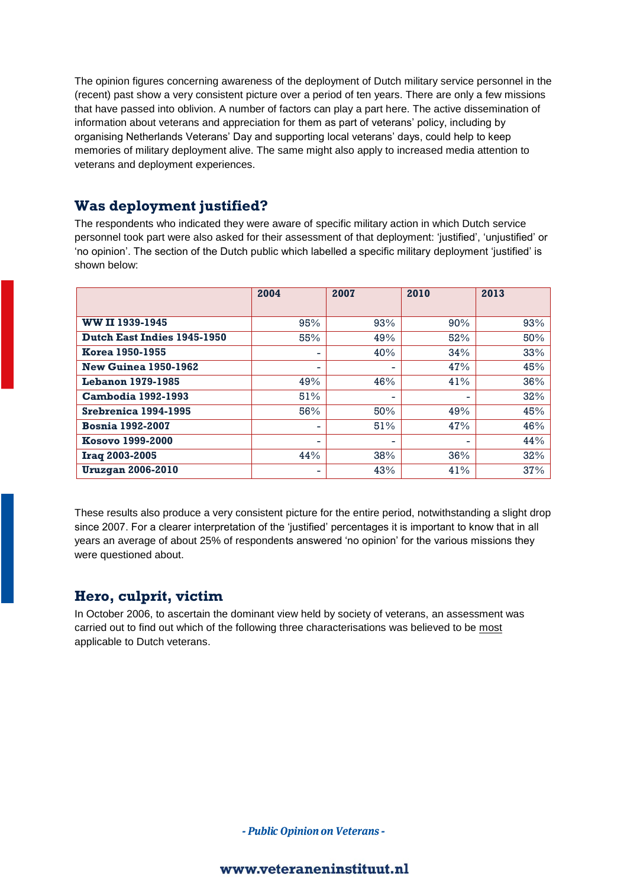The opinion figures concerning awareness of the deployment of Dutch military service personnel in the (recent) past show a very consistent picture over a period of ten years. There are only a few missions that have passed into oblivion. A number of factors can play a part here. The active dissemination of information about veterans and appreciation for them as part of veterans' policy, including by organising Netherlands Veterans' Day and supporting local veterans' days, could help to keep memories of military deployment alive. The same might also apply to increased media attention to veterans and deployment experiences.

#### **Was deployment justified?**

The respondents who indicated they were aware of specific military action in which Dutch service personnel took part were also asked for their assessment of that deployment: 'justified', 'unjustified' or 'no opinion'. The section of the Dutch public which labelled a specific military deployment 'justified' is shown below:

|                             | 2004                     | 2007 | 2010 | 2013 |
|-----------------------------|--------------------------|------|------|------|
|                             |                          |      |      |      |
| WW II 1939-1945             | 95%                      | 93%  | 90%  | 93%  |
| Dutch East Indies 1945-1950 | 55%                      | 49%  | 52%  | 50%  |
| <b>Korea 1950-1955</b>      | $\overline{\phantom{0}}$ | 40%  | 34%  | 33%  |
| <b>New Guinea 1950-1962</b> | $\overline{\phantom{0}}$ | ۰    | 47%  | 45%  |
| <b>Lebanon 1979-1985</b>    | 49%                      | 46%  | 41%  | 36%  |
| <b>Cambodia 1992-1993</b>   | 51%                      | ۰    | -    | 32%  |
| Srebrenica 1994-1995        | 56%                      | 50%  | 49%  | 45%  |
| <b>Bosnia 1992-2007</b>     | ۰                        | 51%  | 47%  | 46%  |
| Kosovo 1999-2000            | ٠                        | ۰.   | -    | 44%  |
| <b>Iraq 2003-2005</b>       | 44%                      | 38%  | 36%  | 32%  |
| <b>Uruzgan 2006-2010</b>    | ٠                        | 43%  | 41%  | 37%  |

These results also produce a very consistent picture for the entire period, notwithstanding a slight drop since 2007. For a clearer interpretation of the 'justified' percentages it is important to know that in all years an average of about 25% of respondents answered 'no opinion' for the various missions they were questioned about.

### **Hero, culprit, victim**

In October 2006, to ascertain the dominant view held by society of veterans, an assessment was carried out to find out which of the following three characterisations was believed to be most applicable to Dutch veterans.

- Public Opinion on Veterans -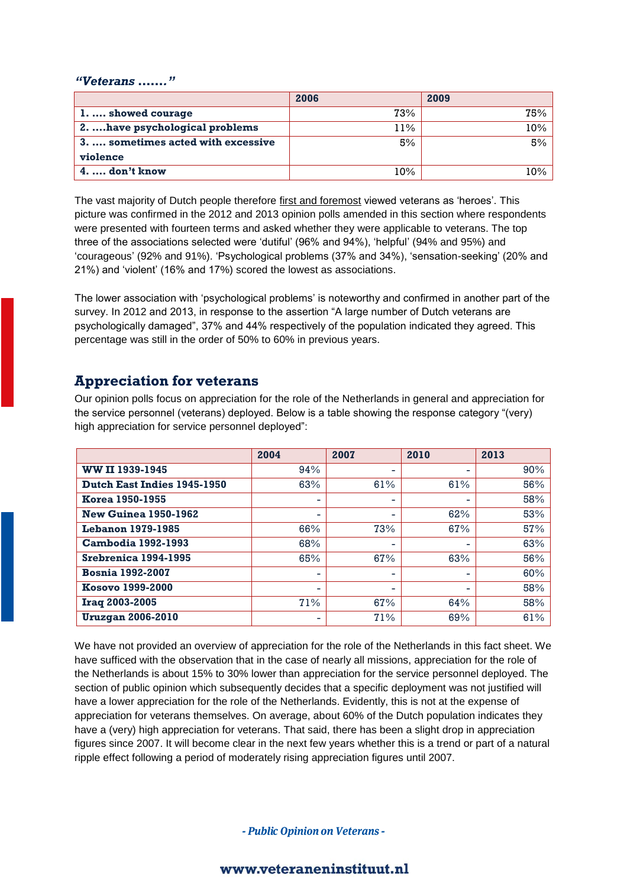#### *"Veterans ……."*

|                                     | 2006   | 2009 |
|-------------------------------------|--------|------|
| 1.  showed courage                  | 73%    | 75%  |
| 2. have psychological problems      | $11\%$ | 10%  |
| 3. , sometimes acted with excessive | 5%     | 5%   |
| violence                            |        |      |
| $4. \ldots$ don't know              | $10\%$ | 10%  |

The vast majority of Dutch people therefore first and foremost viewed veterans as 'heroes'. This picture was confirmed in the 2012 and 2013 opinion polls amended in this section where respondents were presented with fourteen terms and asked whether they were applicable to veterans. The top three of the associations selected were 'dutiful' (96% and 94%), 'helpful' (94% and 95%) and 'courageous' (92% and 91%). 'Psychological problems (37% and 34%), 'sensation-seeking' (20% and 21%) and 'violent' (16% and 17%) scored the lowest as associations.

The lower association with 'psychological problems' is noteworthy and confirmed in another part of the survey. In 2012 and 2013, in response to the assertion "A large number of Dutch veterans are psychologically damaged", 37% and 44% respectively of the population indicated they agreed. This percentage was still in the order of 50% to 60% in previous years.

#### **Appreciation for veterans**

Our opinion polls focus on appreciation for the role of the Netherlands in general and appreciation for the service personnel (veterans) deployed. Below is a table showing the response category "(very) high appreciation for service personnel deployed":

|                                    | 2004 | 2007 | 2010 | 2013 |
|------------------------------------|------|------|------|------|
| WW II 1939-1945                    | 94%  | Ξ.   |      | 90%  |
| <b>Dutch East Indies 1945-1950</b> | 63%  | 61%  | 61%  | 56%  |
| <b>Korea 1950-1955</b>             | ۰    | ۰    | -    | 58%  |
| <b>New Guinea 1950-1962</b>        | ٠    | ٠    | 62%  | 53%  |
| <b>Lebanon 1979-1985</b>           | 66%  | 73%  | 67%  | 57%  |
| <b>Cambodia 1992-1993</b>          | 68%  | -    |      | 63%  |
| Srebrenica 1994-1995               | 65%  | 67%  | 63%  | 56%  |
| <b>Bosnia 1992-2007</b>            | -    | ۰    |      | 60%  |
| Kosovo 1999-2000                   | -    | ٠    |      | 58%  |
| Iraq 2003-2005                     | 71%  | 67%  | 64%  | 58%  |
| <b>Uruzgan 2006-2010</b>           | ٠    | 71%  | 69%  | 61%  |

We have not provided an overview of appreciation for the role of the Netherlands in this fact sheet. We have sufficed with the observation that in the case of nearly all missions, appreciation for the role of the Netherlands is about 15% to 30% lower than appreciation for the service personnel deployed. The section of public opinion which subsequently decides that a specific deployment was not justified will have a lower appreciation for the role of the Netherlands. Evidently, this is not at the expense of appreciation for veterans themselves. On average, about 60% of the Dutch population indicates they have a (very) high appreciation for veterans. That said, there has been a slight drop in appreciation figures since 2007. It will become clear in the next few years whether this is a trend or part of a natural ripple effect following a period of moderately rising appreciation figures until 2007.

- Public Opinion on Veterans -